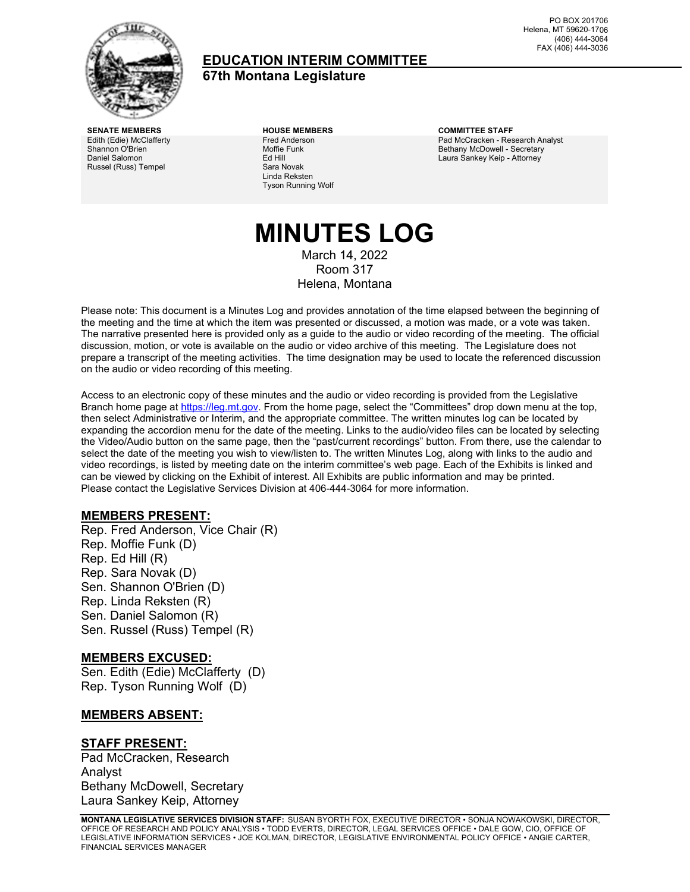

### **EDUCATION INTERIM COMMITTEE 67th Montana Legislature**

PO BOX 201706 Helena, MT 59620-1706 (406) 444-3064 FAX (406) 444-3036

**SENATE MEMBERS HOUSE MEMBERS COMMITTEE STAFF** Edith (Edie) McClafferty Shannon O'Brien Daniel Salomon Russel (Russ) Tempel

Fred Anderson Moffie Funk Ed Hill Sara Novak Linda Reksten Tyson Running Wolf

Pad McCracken - Research Analyst Bethany McDowell - Secretary Laura Sankey Keip - Attorney

### **MINUTES LOG** March 14, 2022 Room 317 Helena, Montana

Please note: This document is a Minutes Log and provides annotation of the time elapsed between the beginning of the meeting and the time at which the item was presented or discussed, a motion was made, or a vote was taken. The narrative presented here is provided only as a guide to the audio or video recording of the meeting. The official discussion, motion, or vote is available on the audio or video archive of this meeting. The Legislature does not prepare a transcript of the meeting activities. The time designation may be used to locate the referenced discussion on the audio or video recording of this meeting.

Access to an electronic copy of these minutes and the audio or video recording is provided from the Legislative Branch home page a[t https://leg.mt.gov.](http://legmt.gov/) From the home page, select the "Committees" drop down menu at the top, then select Administrative or Interim, and the appropriate committee. The written minutes log can be located by expanding the accordion menu for the date of the meeting. Links to the audio/video files can be located by selecting the Video/Audio button on the same page, then the "past/current recordings" button. From there, use the calendar to select the date of the meeting you wish to view/listen to. The written Minutes Log, along with links to the audio and video recordings, is listed by meeting date on the interim committee's web page. Each of the Exhibits is linked and can be viewed by clicking on the Exhibit of interest. All Exhibits are public information and may be printed. Please contact the Legislative Services Division at 406-444-3064 for more information.

#### **MEMBERS PRESENT:**

Rep. Fred Anderson, Vice Chair (R) Rep. Moffie Funk (D) Rep. Ed Hill (R) Rep. Sara Novak (D) Sen. Shannon O'Brien (D) Rep. Linda Reksten (R) Sen. Daniel Salomon (R) Sen. Russel (Russ) Tempel (R)

#### **MEMBERS EXCUSED:**

Sen. Edith (Edie) McClafferty (D) Rep. Tyson Running Wolf (D)

#### **MEMBERS ABSENT:**

#### **STAFF PRESENT:**

Pad McCracken, Research Analyst Bethany McDowell, Secretary Laura Sankey Keip, Attorney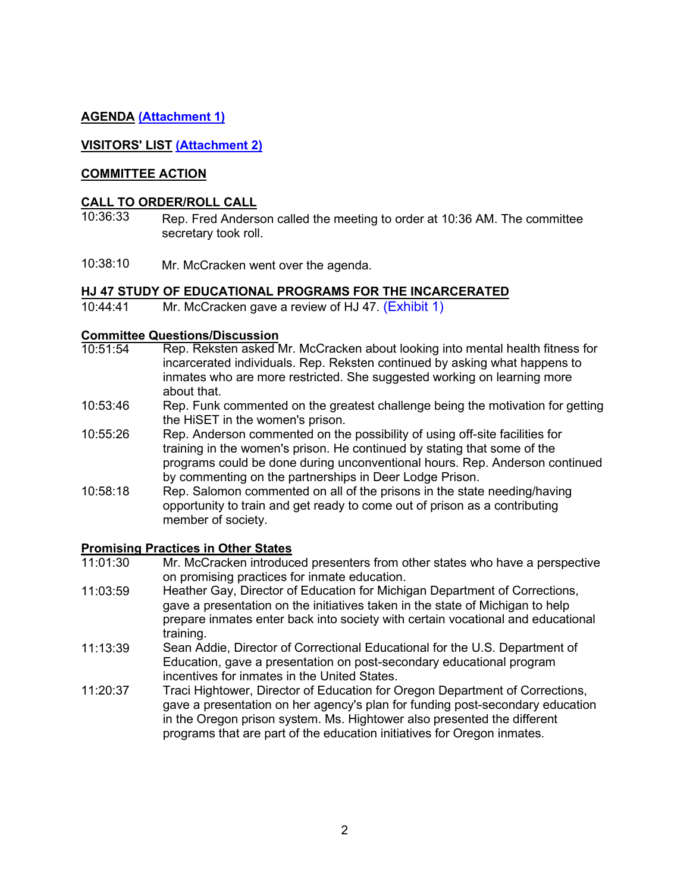### **AGENDA [\(Attachment 1\)](https://leg.mt.gov/content/Committees/Interim/2021-2022/Education/Meetings/March-2022/March-2022-FINAL-agenda.pdf)**

### **VISITORS' LIST [\(Attachment 2\)](https://leg.mt.gov/content/Committees/Interim/2021-2022/Education/Meetings/March-2022/visitor_log.pdf)**

### **COMMITTEE ACTION**

#### **CALL TO ORDER/ROLL CALL**

- 10:36:33 Rep. Fred Anderson called the meeting to order at 10:36 AM. The committee secretary took roll.
- 10:38:10 Mr. McCracken went over the agenda.

#### **HJ 47 STUDY OF EDUCATIONAL PROGRAMS FOR THE INCARCERATED**

10:44:41 Mr. McCracken gave a review of HJ 47. ([Exhibit](https://leg.mt.gov/content/Committees/Interim/2021-2022/Education/Meetings/March-2022/HJ-47-wrap-up-memo.pdf) 1)

### **Committee Questions/Discussion**<br>10:51:54 Rep. Reksten asked N

- Rep. Reksten asked Mr. McCracken about looking into mental health fitness for incarcerated individuals. Rep. Reksten continued by asking what happens to inmates who are more restricted. She suggested working on learning more about that.
- 10:53:46 Rep. Funk commented on the greatest challenge being the motivation for getting the HiSET in the women's prison.
- 10:55:26 Rep. Anderson commented on the possibility of using off-site facilities for training in the women's prison. He continued by stating that some of the programs could be done during unconventional hours. Rep. Anderson continued by commenting on the partnerships in Deer Lodge Prison.
- 10:58:18 Rep. Salomon commented on all of the prisons in the state needing/having opportunity to train and get ready to come out of prison as a contributing member of society.

#### **Promising Practices in Other States**

- 11:01:30 Mr. McCracken introduced presenters from other states who have a perspective on promising practices for inmate education.
- 11:03:59 Heather Gay, Director of Education for Michigan Department of Corrections, gave a presentation on the initiatives taken in the state of Michigan to help prepare inmates enter back into society with certain vocational and educational training.
- 11:13:39 Sean Addie, Director of Correctional Educational for the U.S. Department of Education, gave a presentation on post-secondary educational program incentives for inmates in the United States.
- 11:20:37 Traci Hightower, Director of Education for Oregon Department of Corrections, gave a presentation on her agency's plan for funding post-secondary education in the Oregon prison system. Ms. Hightower also presented the different programs that are part of the education initiatives for Oregon inmates.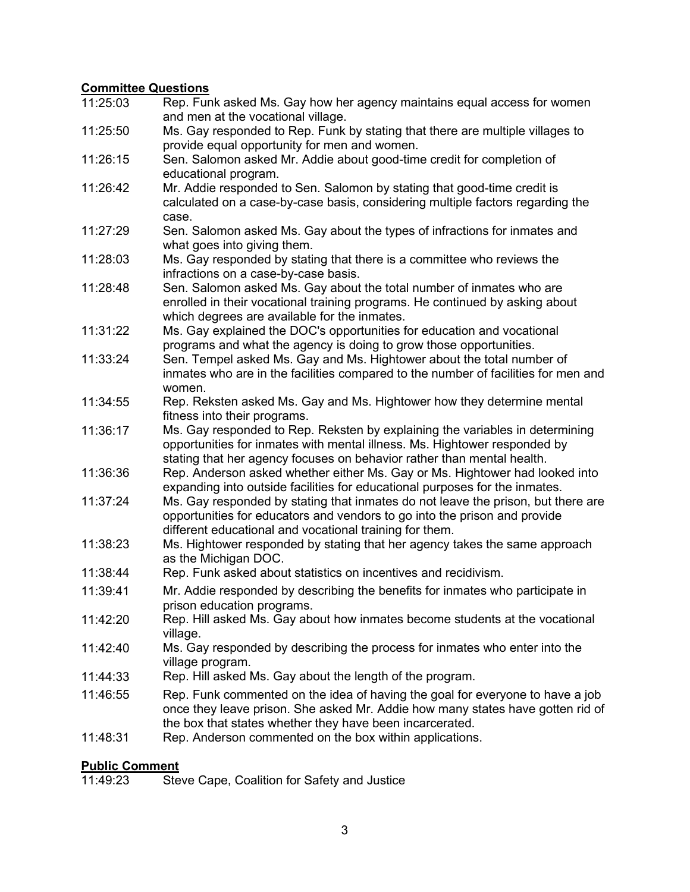### **Committee Questions**

| 11:25:03 | Rep. Funk asked Ms. Gay how her agency maintains equal access for women<br>and men at the vocational village.                                                                                                                       |
|----------|-------------------------------------------------------------------------------------------------------------------------------------------------------------------------------------------------------------------------------------|
| 11:25:50 | Ms. Gay responded to Rep. Funk by stating that there are multiple villages to                                                                                                                                                       |
|          | provide equal opportunity for men and women.                                                                                                                                                                                        |
| 11:26:15 | Sen. Salomon asked Mr. Addie about good-time credit for completion of<br>educational program.                                                                                                                                       |
| 11:26:42 | Mr. Addie responded to Sen. Salomon by stating that good-time credit is<br>calculated on a case-by-case basis, considering multiple factors regarding the<br>case.                                                                  |
| 11:27:29 | Sen. Salomon asked Ms. Gay about the types of infractions for inmates and<br>what goes into giving them.                                                                                                                            |
| 11:28:03 | Ms. Gay responded by stating that there is a committee who reviews the<br>infractions on a case-by-case basis.                                                                                                                      |
| 11:28:48 | Sen. Salomon asked Ms. Gay about the total number of inmates who are<br>enrolled in their vocational training programs. He continued by asking about<br>which degrees are available for the inmates.                                |
| 11:31:22 | Ms. Gay explained the DOC's opportunities for education and vocational<br>programs and what the agency is doing to grow those opportunities.                                                                                        |
| 11:33:24 | Sen. Tempel asked Ms. Gay and Ms. Hightower about the total number of<br>inmates who are in the facilities compared to the number of facilities for men and<br>women.                                                               |
| 11:34:55 | Rep. Reksten asked Ms. Gay and Ms. Hightower how they determine mental<br>fitness into their programs.                                                                                                                              |
| 11:36:17 | Ms. Gay responded to Rep. Reksten by explaining the variables in determining<br>opportunities for inmates with mental illness. Ms. Hightower responded by<br>stating that her agency focuses on behavior rather than mental health. |
| 11:36:36 | Rep. Anderson asked whether either Ms. Gay or Ms. Hightower had looked into<br>expanding into outside facilities for educational purposes for the inmates.                                                                          |
| 11:37:24 | Ms. Gay responded by stating that inmates do not leave the prison, but there are<br>opportunities for educators and vendors to go into the prison and provide<br>different educational and vocational training for them.            |
| 11:38:23 | Ms. Hightower responded by stating that her agency takes the same approach<br>as the Michigan DOC.                                                                                                                                  |
| 11:38:44 | Rep. Funk asked about statistics on incentives and recidivism.                                                                                                                                                                      |
| 11:39:41 | Mr. Addie responded by describing the benefits for inmates who participate in<br>prison education programs.                                                                                                                         |
| 11:42:20 | Rep. Hill asked Ms. Gay about how inmates become students at the vocational<br>village.                                                                                                                                             |
| 11:42:40 | Ms. Gay responded by describing the process for inmates who enter into the<br>village program.                                                                                                                                      |
| 11:44:33 | Rep. Hill asked Ms. Gay about the length of the program.                                                                                                                                                                            |
| 11:46:55 | Rep. Funk commented on the idea of having the goal for everyone to have a job<br>once they leave prison. She asked Mr. Addie how many states have gotten rid of<br>the box that states whether they have been incarcerated.         |
| 11:48:31 | Rep. Anderson commented on the box within applications.                                                                                                                                                                             |

### **Public Comment**

11:49:23 Steve Cape, Coalition for Safety and Justice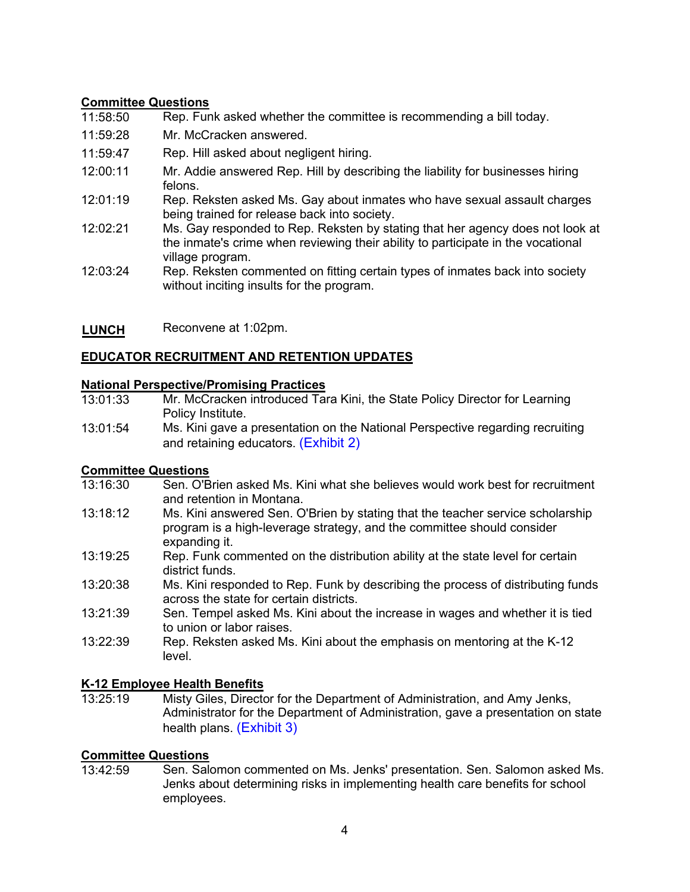### **Committee Questions**

- 11:58:50 Rep. Funk asked whether the committee is recommending a bill today.
- 11:59:28 Mr. McCracken answered.
- 11:59:47 Rep. Hill asked about negligent hiring.
- 12:00:11 Mr. Addie answered Rep. Hill by describing the liability for businesses hiring felons.
- 12:01:19 Rep. Reksten asked Ms. Gay about inmates who have sexual assault charges being trained for release back into society.
- 12:02:21 Ms. Gay responded to Rep. Reksten by stating that her agency does not look at the inmate's crime when reviewing their ability to participate in the vocational village program.
- 12:03:24 Rep. Reksten commented on fitting certain types of inmates back into society without inciting insults for the program.
- **LUNCH** Reconvene at 1:02pm.

### **EDUCATOR RECRUITMENT AND RETENTION UPDATES**

### **National Perspective/Promising Practices**

- 13:01:33 Mr. McCracken introduced Tara Kini, the State Policy Director for Learning Policy Institute.
- 13:01:54 Ms. Kini gave a presentation on the National Perspective regarding recruiting and retaining educators. [\(Exhibit 2\)](https://leg.mt.gov/content/Committees/Interim/2021-2022/Education/Meetings/March-2022/LPI-shortage-slides.pdf)

# **Committee Questions**<br>13:16:30 **Sen. O'B**

- Sen. O'Brien asked Ms. Kini what she believes would work best for recruitment and retention in Montana.
- 13:18:12 Ms. Kini answered Sen. O'Brien by stating that the teacher service scholarship program is a high-leverage strategy, and the committee should consider expanding it.
- 13:19:25 Rep. Funk commented on the distribution ability at the state level for certain district funds.
- 13:20:38 Ms. Kini responded to Rep. Funk by describing the process of distributing funds across the state for certain districts.
- 13:21:39 Sen. Tempel asked Ms. Kini about the increase in wages and whether it is tied to union or labor raises.
- 13:22:39 Rep. Reksten asked Ms. Kini about the emphasis on mentoring at the K-12 level.

# **K-12 Employee Health Benefits**

Misty Giles, Director for the Department of Administration, and Amy Jenks, Administrator for the Department of Administration, gave a presentation on state health plans. [\(Exhibit 3\)](https://leg.mt.gov/content/Committees/Interim/2021-2022/Education/Meetings/March-2022/2022-Benefits-at-a-Glance.pdf) 

# **Committee Questions**

Sen. Salomon commented on Ms. Jenks' presentation. Sen. Salomon asked Ms. Jenks about determining risks in implementing health care benefits for school employees.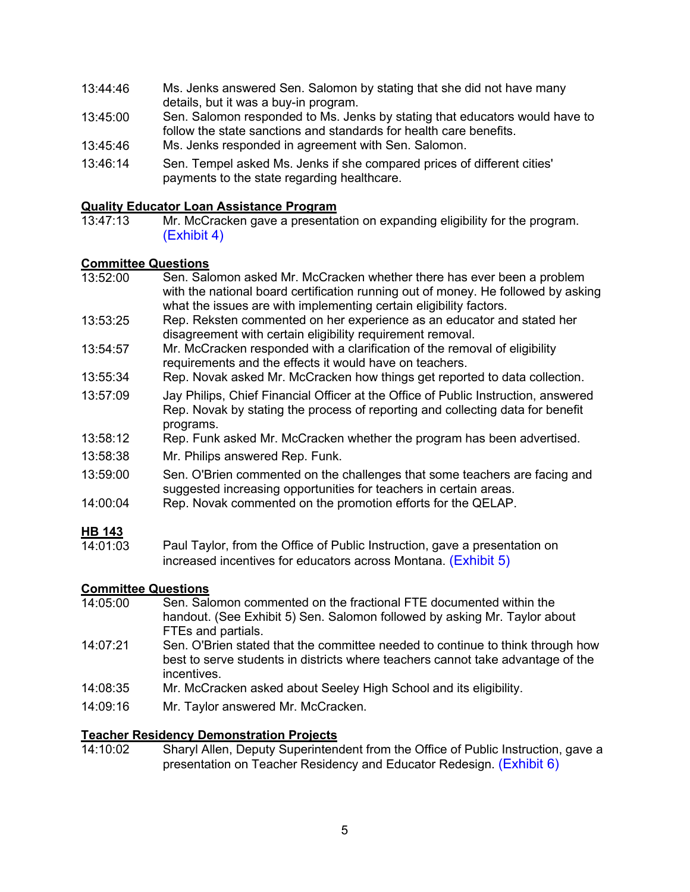- 13:44:46 Ms. Jenks answered Sen. Salomon by stating that she did not have many details, but it was a buy-in program.
- 13:45:00 Sen. Salomon responded to Ms. Jenks by stating that educators would have to follow the state sanctions and standards for health care benefits.
- 13:45:46 Ms. Jenks responded in agreement with Sen. Salomon.
- 13:46:14 Sen. Tempel asked Ms. Jenks if she compared prices of different cities' payments to the state regarding healthcare.

# **Quality Educator Loan Assistance Program**<br>13:47:13 Mr. McCracken gave a presenta

Mr. McCracken gave a presentation on expanding eligibility for the program. [\(Exhibit 4\)](https://leg.mt.gov/content/Committees/Interim/2021-2022/Education/Meetings/March-2022/QELAP-memo-March-2022.pdf) 

### **Committee Questions**

- 13:52:00 Sen. Salomon asked Mr. McCracken whether there has ever been a problem with the national board certification running out of money. He followed by asking what the issues are with implementing certain eligibility factors.
- 13:53:25 Rep. Reksten commented on her experience as an educator and stated her disagreement with certain eligibility requirement removal.
- 13:54:57 Mr. McCracken responded with a clarification of the removal of eligibility requirements and the effects it would have on teachers.
- 13:55:34 Rep. Novak asked Mr. McCracken how things get reported to data collection.
- 13:57:09 Jay Philips, Chief Financial Officer at the Office of Public Instruction, answered Rep. Novak by stating the process of reporting and collecting data for benefit programs.
- 13:58:12 Rep. Funk asked Mr. McCracken whether the program has been advertised.
- 13:58:38 Mr. Philips answered Rep. Funk.
- 13:59:00 Sen. O'Brien commented on the challenges that some teachers are facing and suggested increasing opportunities for teachers in certain areas.
- 14:00:04 Rep. Novak commented on the promotion efforts for the QELAP.

### **HB 143**

 $14:01:03$ Paul Taylor, from the Office of Public Instruction, gave a presentation on increased incentives for educators across Montana. [\(Exhibit 5\)](https://leg.mt.gov/content/Committees/Interim/2021-2022/Education/Meetings/March-2022/QEC-Teacher-IncentiveFY2023.pdf) 

## **Committee Questions**

- Sen. Salomon commented on the fractional FTE documented within the handout. (See Exhibit 5) Sen. Salomon followed by asking Mr. Taylor about FTEs and partials.
- 14:07:21 Sen. O'Brien stated that the committee needed to continue to think through how best to serve students in districts where teachers cannot take advantage of the incentives.
- 14:08:35 Mr. McCracken asked about Seeley High School and its eligibility.
- 14:09:16 Mr. Taylor answered Mr. McCracken.

# **Teacher Residency Demonstration Projects**

Sharyl Allen, Deputy Superintendent from the Office of Public Instruction, gave a presentation on Teacher Residency and Educator Redesign. [\(Exhibit 6\)](https://leg.mt.gov/content/Committees/Interim/2021-2022/Education/Meetings/March-2022/Teacher-Residency-Demonstration-Flyer.pdf)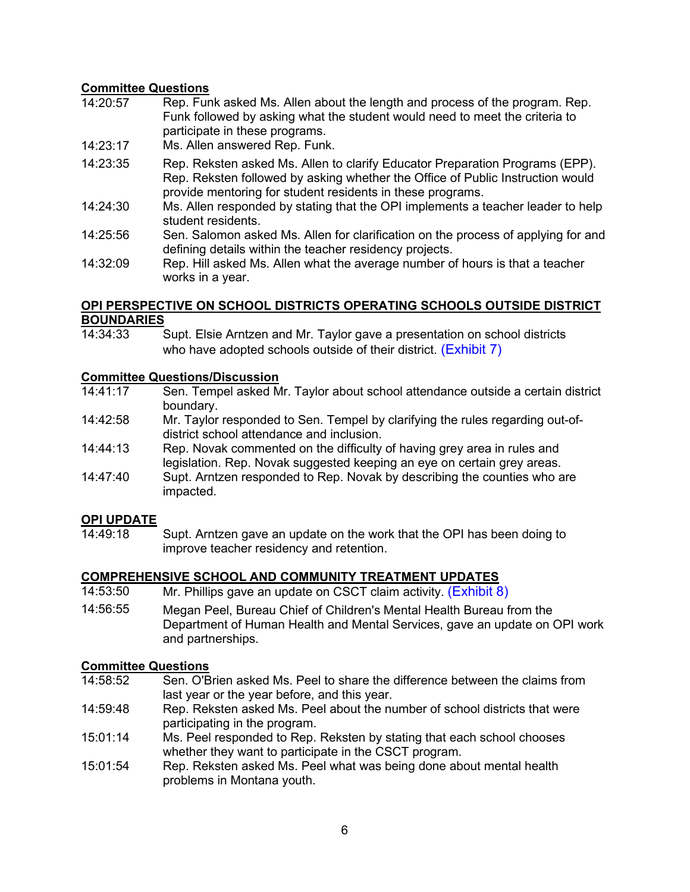### **Committee Questions**

- 14:20:57 Rep. Funk asked Ms. Allen about the length and process of the program. Rep. Funk followed by asking what the student would need to meet the criteria to participate in these programs.
- 14:23:17 Ms. Allen answered Rep. Funk.
- 14:23:35 Rep. Reksten asked Ms. Allen to clarify Educator Preparation Programs (EPP). Rep. Reksten followed by asking whether the Office of Public Instruction would provide mentoring for student residents in these programs.
- 14:24:30 Ms. Allen responded by stating that the OPI implements a teacher leader to help student residents.
- 14:25:56 Sen. Salomon asked Ms. Allen for clarification on the process of applying for and defining details within the teacher residency projects.
- 14:32:09 Rep. Hill asked Ms. Allen what the average number of hours is that a teacher works in a year.

### **OPI PERSPECTIVE ON SCHOOL DISTRICTS OPERATING SCHOOLS OUTSIDE DISTRICT BOUNDARIES**<br>14:34:33

Supt. Elsie Arntzen and Mr. Taylor gave a presentation on school districts who have adopted schools outside of their district. (Exhibit 7)

# **Committee Questions/Discussion**<br>14:41:17 Sen. Tempel asked M

- Sen. Tempel asked Mr. Taylor about school attendance outside a certain district boundary.
- 14:42:58 Mr. Taylor responded to Sen. Tempel by clarifying the rules regarding out-ofdistrict school attendance and inclusion.
- 14:44:13 Rep. Novak commented on the difficulty of having grey area in rules and legislation. Rep. Novak suggested keeping an eye on certain grey areas.
- 14:47:40 Supt. Arntzen responded to Rep. Novak by describing the counties who are impacted.

# **OPI UPDATE**

Supt. Arntzen gave an update on the work that the OPI has been doing to improve teacher residency and retention.

#### **COMPREHENSIVE SCHOOL AND COMMUNITY TREATMENT UPDATES**

- 14:53:50 Mr. Phillips gave an update on CSCT claim activity. (Exhibit 8)
- 14:56:55 Megan Peel, Bureau Chief of Children's Mental Health Bureau from the Department of Human Health and Mental Services, gave an update on OPI work and partnerships.

# **Committee Questions**

- Sen. O'Brien asked Ms. Peel to share the difference between the claims from last year or the year before, and this year.
- 14:59:48 Rep. Reksten asked Ms. Peel about the number of school districts that were participating in the program.
- 15:01:14 Ms. Peel responded to Rep. Reksten by stating that each school chooses whether they want to participate in the CSCT program.
- 15:01:54 Rep. Reksten asked Ms. Peel what was being done about mental health problems in Montana youth.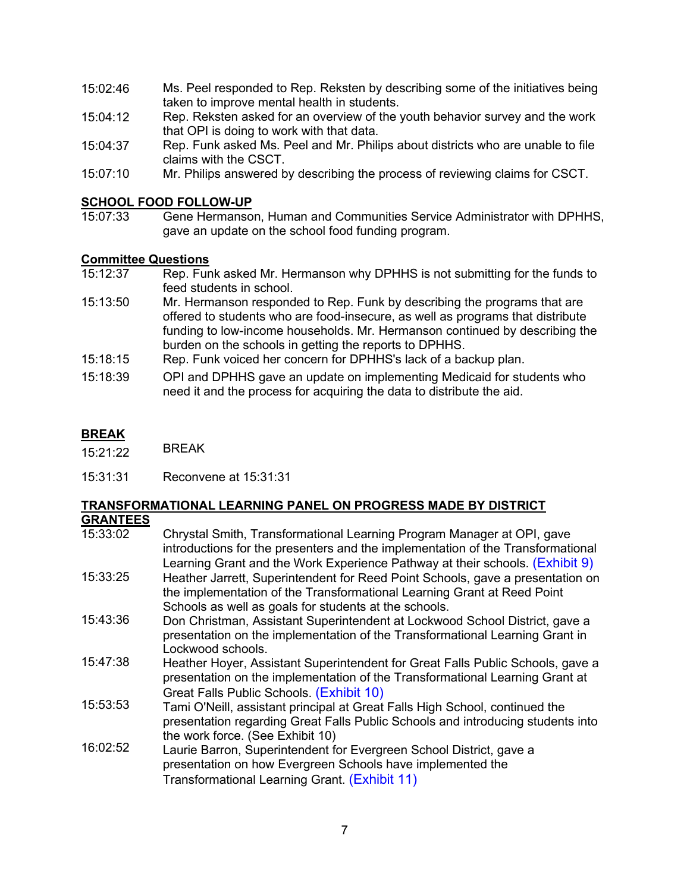- 15:02:46 Ms. Peel responded to Rep. Reksten by describing some of the initiatives being taken to improve mental health in students.
- 15:04:12 Rep. Reksten asked for an overview of the youth behavior survey and the work that OPI is doing to work with that data.
- 15:04:37 Rep. Funk asked Ms. Peel and Mr. Philips about districts who are unable to file claims with the CSCT.
- 15:07:10 Mr. Philips answered by describing the process of reviewing claims for CSCT.

# **SCHOOL FOOD FOLLOW-UP**<br>15:07:33 Gene Hermanso

Gene Hermanson, Human and Communities Service Administrator with DPHHS, gave an update on the school food funding program.

# **Committee Questions**<br>15:12:37 Rep. Fun

- Rep. Funk asked Mr. Hermanson why DPHHS is not submitting for the funds to feed students in school.
- 15:13:50 Mr. Hermanson responded to Rep. Funk by describing the programs that are offered to students who are food-insecure, as well as programs that distribute funding to low-income households. Mr. Hermanson continued by describing the burden on the schools in getting the reports to DPHHS.
- 15:18:15 Rep. Funk voiced her concern for DPHHS's lack of a backup plan.
- 15:18:39 OPI and DPHHS gave an update on implementing Medicaid for students who need it and the process for acquiring the data to distribute the aid.

#### **BREAK**

- $\overline{15:21:22}$  BREAK
- 15:31:31 Reconvene at 15:31:31

#### **TRANSFORMATIONAL LEARNING PANEL ON PROGRESS MADE BY DISTRICT GRANTEES**

| ᄓᄓᄓᄓᄂᄂ   |                                                                                                                                                                                                                                           |
|----------|-------------------------------------------------------------------------------------------------------------------------------------------------------------------------------------------------------------------------------------------|
| 15:33:02 | Chrystal Smith, Transformational Learning Program Manager at OPI, gave<br>introductions for the presenters and the implementation of the Transformational<br>Learning Grant and the Work Experience Pathway at their schools. (Exhibit 9) |
| 15:33:25 | Heather Jarrett, Superintendent for Reed Point Schools, gave a presentation on<br>the implementation of the Transformational Learning Grant at Reed Point<br>Schools as well as goals for students at the schools.                        |
| 15:43:36 | Don Christman, Assistant Superintendent at Lockwood School District, gave a<br>presentation on the implementation of the Transformational Learning Grant in<br>Lockwood schools.                                                          |
| 15:47:38 | Heather Hoyer, Assistant Superintendent for Great Falls Public Schools, gave a<br>presentation on the implementation of the Transformational Learning Grant at<br>Great Falls Public Schools. (Exhibit 10)                                |
| 15:53:53 | Tami O'Neill, assistant principal at Great Falls High School, continued the<br>presentation regarding Great Falls Public Schools and introducing students into<br>the work force. (See Exhibit 10)                                        |
| 16:02:52 | Laurie Barron, Superintendent for Evergreen School District, gave a<br>presentation on how Evergreen Schools have implemented the<br>Transformational Learning Grant. (Exhibit 11)                                                        |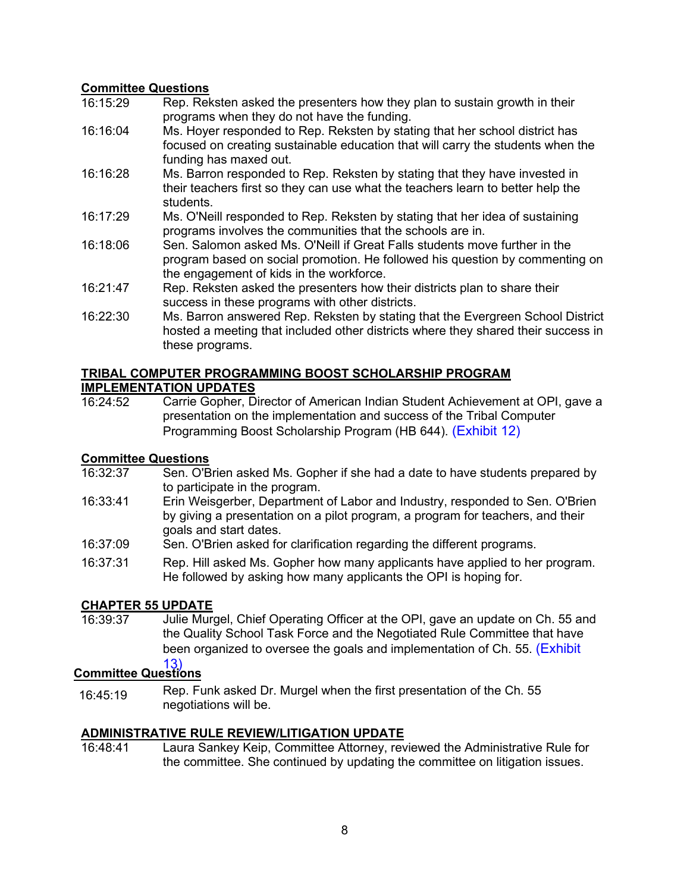### **Committee Questions**<br>16:15:29 Rep Rek

- Rep. Reksten asked the presenters how they plan to sustain growth in their programs when they do not have the funding.
- 16:16:04 Ms. Hoyer responded to Rep. Reksten by stating that her school district has focused on creating sustainable education that will carry the students when the funding has maxed out.
- 16:16:28 Ms. Barron responded to Rep. Reksten by stating that they have invested in their teachers first so they can use what the teachers learn to better help the students.
- 16:17:29 Ms. O'Neill responded to Rep. Reksten by stating that her idea of sustaining programs involves the communities that the schools are in.
- 16:18:06 Sen. Salomon asked Ms. O'Neill if Great Falls students move further in the program based on social promotion. He followed his question by commenting on the engagement of kids in the workforce.
- 16:21:47 Rep. Reksten asked the presenters how their districts plan to share their success in these programs with other districts.
- 16:22:30 Ms. Barron answered Rep. Reksten by stating that the Evergreen School District hosted a meeting that included other districts where they shared their success in these programs.

#### **TRIBAL COMPUTER PROGRAMMING BOOST SCHOLARSHIP PROGRAM IMPLEMENTATION UPDATES**

16:24:52 Carrie Gopher, Director of American Indian Student Achievement at OPI, gave a presentation on the implementation and success of the Tribal Computer Programming Boost Scholarship Program (HB 644). [\(Exhibit 12\)](https://leg.mt.gov/bills/2021/BillPdf/HB0644.pdf) 

# **Committee Questions**<br>16:32:37 **Sen. O'B**

- Sen. O'Brien asked Ms. Gopher if she had a date to have students prepared by to participate in the program.
- 16:33:41 Erin Weisgerber, Department of Labor and Industry, responded to Sen. O'Brien by giving a presentation on a pilot program, a program for teachers, and their goals and start dates.
- 16:37:09 Sen. O'Brien asked for clarification regarding the different programs.
- 16:37:31 Rep. Hill asked Ms. Gopher how many applicants have applied to her program. He followed by asking how many applicants the OPI is hoping for.

# CHAPTER 55 UPDATE<br>16:39:37 Julie Muro

Julie Murgel, Chief Operating Officer at the OPI, gave an update on Ch. 55 and the Quality School Task Force and the Negotiated Rule Committee that have been organized to oversee the goals and implementation of Ch. 55. [\(Exhibit](https://leg.mt.gov/content/Committees/Interim/2021-2022/Education/Meetings/March-2022/EXHIBIT_12.pdf)

#### 13) **Committee Questions**

16:45:19 Rep. Funk asked Dr. Murgel when the first presentation of the Ch. 55 negotiations will be.

# **ADMINISTRATIVE RULE REVIEW/LITIGATION UPDATE**

Laura Sankey Keip, Committee Attorney, reviewed the Administrative Rule for the committee. She continued by updating the committee on litigation issues.